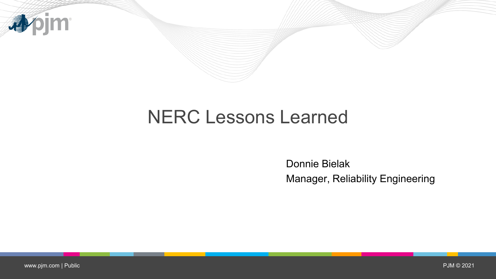

# NERC Lessons Learned

Donnie Bielak Manager, Reliability Engineering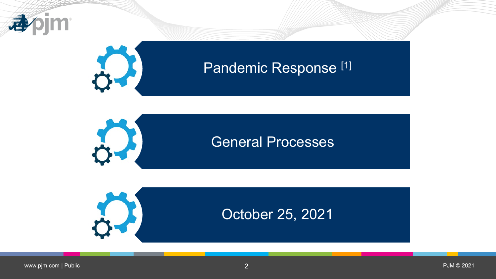

# Pandemic Response<sup>[1]</sup>



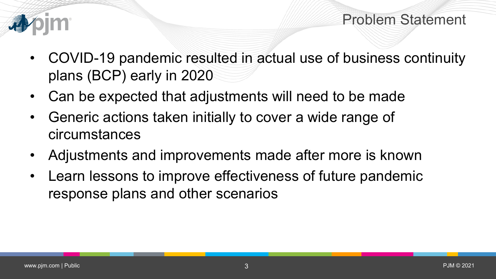



- COVID-19 pandemic resulted in actual use of business continuity plans (BCP) early in 2020
- Can be expected that adjustments will need to be made
- Generic actions taken initially to cover a wide range of circumstances
- Adjustments and improvements made after more is known
- Learn lessons to improve effectiveness of future pandemic response plans and other scenarios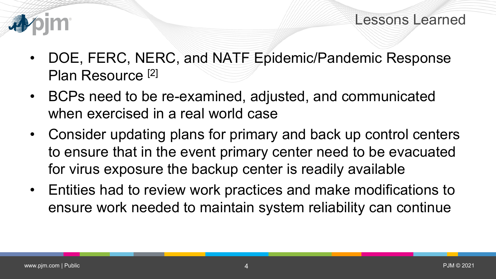

- DOE, FERC, NERC, and NATF Epidemic/Pandemic Response Plan Resource [2]
- BCPs need to be re-examined, adjusted, and communicated when exercised in a real world case
- Consider updating plans for primary and back up control centers to ensure that in the event primary center need to be evacuated for virus exposure the backup center is readily available
- Entities had to review work practices and make modifications to ensure work needed to maintain system reliability can continue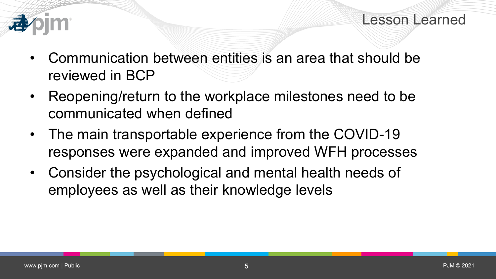

- Communication between entities is an area that should be reviewed in BCP
- Reopening/return to the workplace milestones need to be communicated when defined
- The main transportable experience from the COVID-19 responses were expanded and improved WFH processes
- Consider the psychological and mental health needs of employees as well as their knowledge levels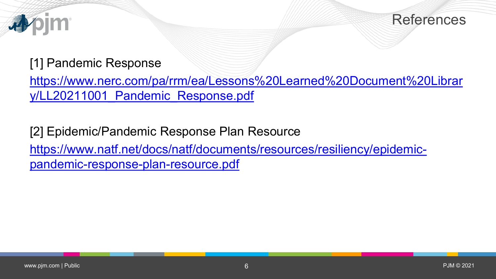



#### [1] Pandemic Response

[https://www.nerc.com/pa/rrm/ea/Lessons%20Learned%20Document%20Librar](https://www.nerc.com/pa/rrm/ea/Lessons%20Learned%20Document%20Library/LL20211001_Pandemic_Response.pdf) y/LL20211001 Pandemic Response.pdf

[2] Epidemic/Pandemic Response Plan Resource [https://www.natf.net/docs/natf/documents/resources/resiliency/epidemic](https://www.natf.net/docs/natf/documents/resources/resiliency/epidemic-pandemic-response-plan-resource.pdf)pandemic-response-plan-resource.pdf